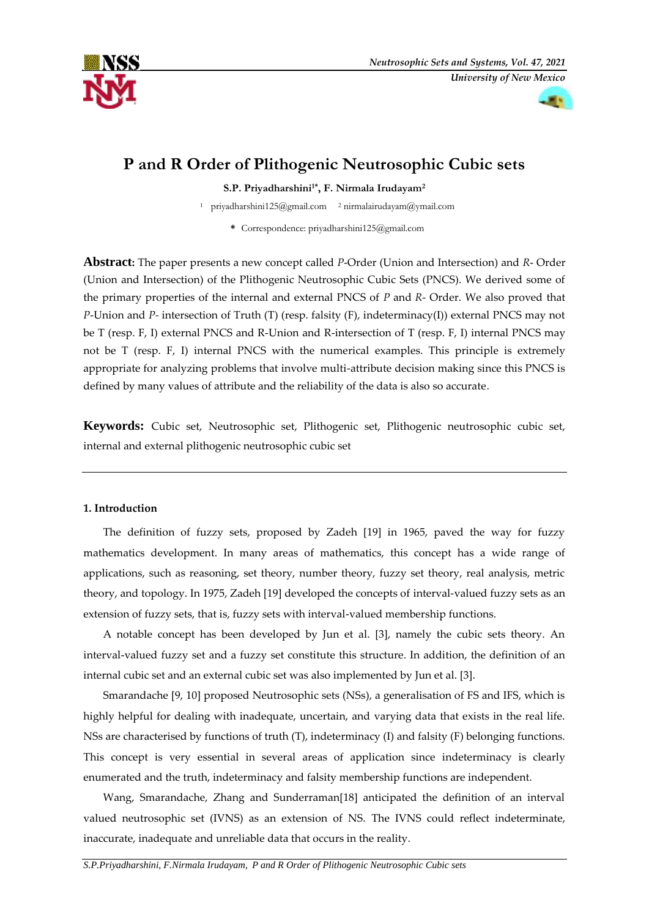



# **P and R Order of Plithogenic Neutrosophic Cubic sets**

**S.P. Priyadharshini1\* , F. Nirmala Irudayam<sup>2</sup>**

<sup>1</sup> [priyadharshini125@gmail.com](mailto:priyadharshini125@gmail.com)  <sup>2</sup> nirmalairudayam@ymail.com

**\*** Correspondence: priyadharshini125@gmail.com

**Abstract:** The paper presents a new concept called *P*-Order (Union and Intersection) and *R*- Order (Union and Intersection) of the Plithogenic Neutrosophic Cubic Sets (PNCS). We derived some of the primary properties of the internal and external PNCS of *P* and *R*- Order. We also proved that *P*-Union and *P-* intersection of Truth (T) (resp. falsity (F), indeterminacy(I)) external PNCS may not be T (resp. F, I) external PNCS and R-Union and R-intersection of T (resp. F, I) internal PNCS may not be T (resp. F, I) internal PNCS with the numerical examples. This principle is extremely appropriate for analyzing problems that involve multi-attribute decision making since this PNCS is defined by many values of attribute and the reliability of the data is also so accurate.

**Keywords:** Cubic set, Neutrosophic set, Plithogenic set, Plithogenic neutrosophic cubic set, internal and external plithogenic neutrosophic cubic set

## **1. Introduction**

The definition of fuzzy sets, proposed by Zadeh [19] in 1965, paved the way for fuzzy mathematics development. In many areas of mathematics, this concept has a wide range of applications, such as reasoning, set theory, number theory, fuzzy set theory, real analysis, metric theory, and topology. In 1975, Zadeh [19] developed the concepts of interval-valued fuzzy sets as an extension of fuzzy sets, that is, fuzzy sets with interval-valued membership functions.

A notable concept has been developed by Jun et al. [3], namely the cubic sets theory. An interval-valued fuzzy set and a fuzzy set constitute this structure. In addition, the definition of an internal cubic set and an external cubic set was also implemented by Jun et al. [3].

Smarandache [9, 10] proposed Neutrosophic sets (NSs), a generalisation of FS and IFS, which is highly helpful for dealing with inadequate, uncertain, and varying data that exists in the real life. NSs are characterised by functions of truth (T), indeterminacy (I) and falsity (F) belonging functions. This concept is very essential in several areas of application since indeterminacy is clearly enumerated and the truth, indeterminacy and falsity membership functions are independent.

Wang, Smarandache, Zhang and Sunderraman[18] anticipated the definition of an interval valued neutrosophic set (IVNS) as an extension of NS. The IVNS could reflect indeterminate, inaccurate, inadequate and unreliable data that occurs in the reality.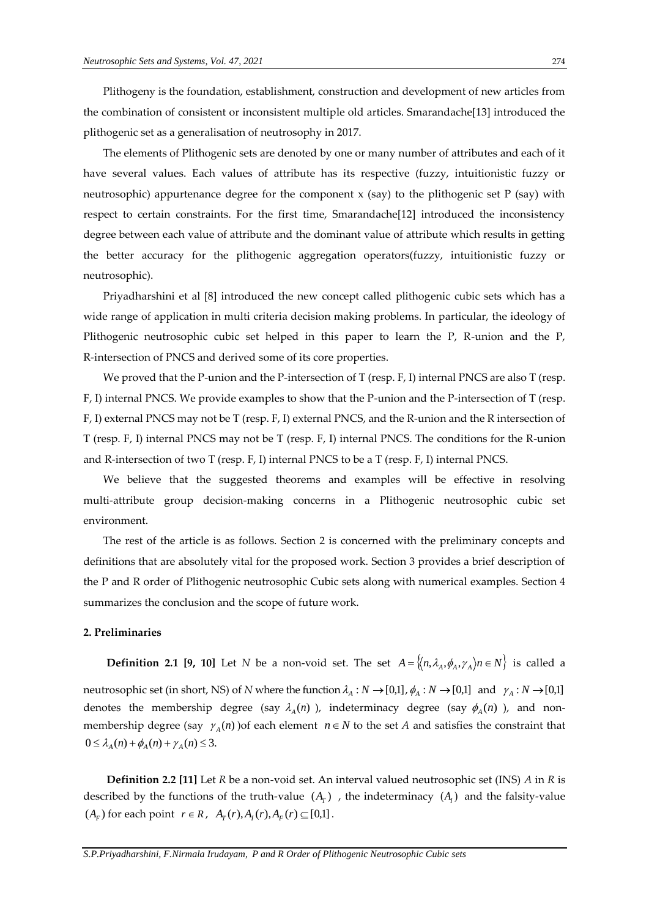Plithogeny is the foundation, establishment, construction and development of new articles from the combination of consistent or inconsistent multiple old articles. Smarandache[13] introduced the plithogenic set as a generalisation of neutrosophy in 2017.

The elements of Plithogenic sets are denoted by one or many number of attributes and each of it have several values. Each values of attribute has its respective (fuzzy, intuitionistic fuzzy or neutrosophic) appurtenance degree for the component  $x$  (say) to the plithogenic set P (say) with respect to certain constraints. For the first time, Smarandache[12] introduced the inconsistency degree between each value of attribute and the dominant value of attribute which results in getting the better accuracy for the plithogenic aggregation operators(fuzzy, intuitionistic fuzzy or neutrosophic).

Priyadharshini et al [8] introduced the new concept called plithogenic cubic sets which has a wide range of application in multi criteria decision making problems. In particular, the ideology of Plithogenic neutrosophic cubic set helped in this paper to learn the P, R-union and the P, R-intersection of PNCS and derived some of its core properties.

We proved that the P-union and the P-intersection of  $T$  (resp.  $F$ , I) internal PNCS are also  $T$  (resp. F, I) internal PNCS. We provide examples to show that the P-union and the P-intersection of T (resp. F, I) external PNCS may not be T (resp. F, I) external PNCS, and the R-union and the R intersection of T (resp. F, I) internal PNCS may not be T (resp. F, I) internal PNCS. The conditions for the R-union and R-intersection of two T (resp.  $F$ , I) internal PNCS to be a T (resp.  $F$ , I) internal PNCS.

We believe that the suggested theorems and examples will be effective in resolving multi-attribute group decision-making concerns in a Plithogenic neutrosophic cubic set environment.

The rest of the article is as follows. Section 2 is concerned with the preliminary concepts and definitions that are absolutely vital for the proposed work. Section 3 provides a brief description of the P and R order of Plithogenic neutrosophic Cubic sets along with numerical examples. Section 4 summarizes the conclusion and the scope of future work.

#### **2. Preliminaries**

**Definition 2.1 [9, 10]** Let *N* be a non-void set. The set  $A = \{(n, \lambda_A, \phi_A, \gamma_A) n \in N\}$  is called a neutrosophic set (in short, NS) of *N* where the function  $\lambda_A : N \to [0,1]$ ,  $\phi_A : N \to [0,1]$  and  $\gamma_A : N \to [0,1]$ denotes the membership degree (say  $\lambda_A(n)$ ), indeterminacy degree (say  $\phi_A(n)$ ), and nonmembership degree (say  $\gamma_A(n)$ ) of each element  $n \in N$  to the set *A* and satisfies the constraint that  $0 \leq \lambda_A(n) + \phi_A(n) + \gamma_A(n) \leq 3.$ 

**Definition 2.2 [11]** Let *R* be a non-void set. An interval valued neutrosophic set (INS) *A* in *R* is described by the functions of the truth-value  $(A_T)$ , the indeterminacy  $(A_I)$  and the falsity-value  $(A_F)$  for each point  $r \in R$ ,  $A_T(r)$ ,  $A_I(r)$ ,  $A_F(r) \subseteq [0,1]$ .

*S.P.Priyadharshini, F.Nirmala Irudayam, P and R Order of Plithogenic Neutrosophic Cubic sets*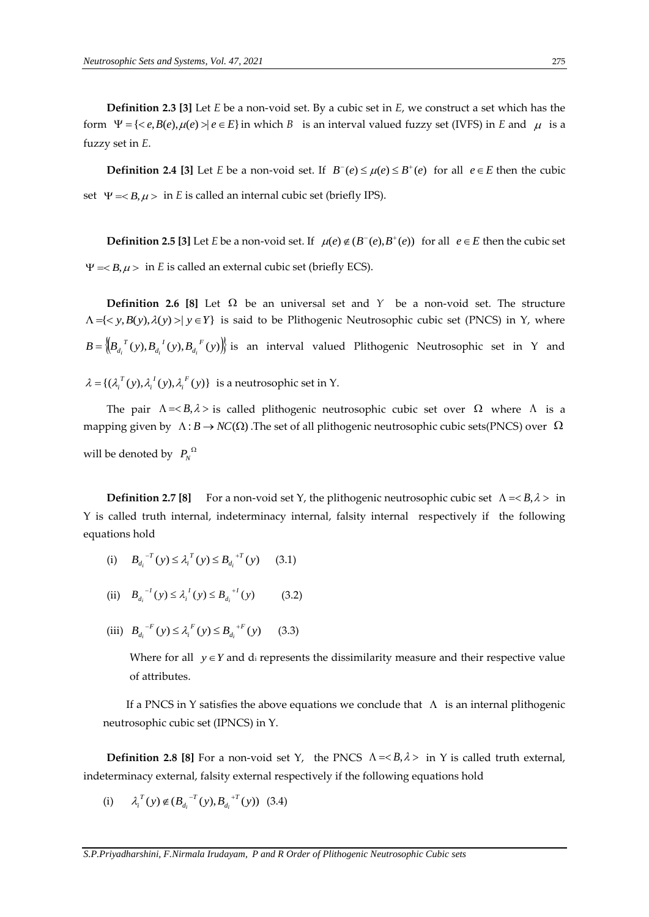**Definition 2.3 [3]** Let *E* be a non-void set. By a cubic set in *E*, we construct a set which has the form  $\Psi = \{  | e \in E \}$  in which *B* is an interval valued fuzzy set (IVFS) in *E* and  $\mu$  is a fuzzy set in *E*.

**Definition 2.4 [3]** Let *E* be a non-void set. If  $B^-(e) \le \mu(e) \le B^+(e)$  for all  $e \in E$  then the cubic set  $\Psi = *B*,  $\mu$  > in *E* is called an internal cubic set (briefly IPS).$ 

**Definition 2.5 [3]** Let *E* be a non-void set. If  $\mu(e) \notin (B^-(e), B^+(e))$  for all  $e \in E$  then the cubic set  $\Psi = *B*,  $\mu$  > in *E* is called an external cubic set (briefly ECS).$ 

**Definition 2.6 [8]** Let  $\Omega$  be an universal set and  $\Upsilon$  be a non-void set. The structure  ${ \Lambda =} \{ \langle y, B(y), \lambda(y) \rangle | y \in Y \}$  is said to be Plithogenic Neutrosophic cubic set (PNCS) in Y, where  $B = \left\{ B_{d_i}^{T}(y), B_{d_i}^{T}(y), B_{d_i}^{T}(y) \right\}$  is an interval valued Plithogenic Neutrosophic set in Y and  $\lambda = \{(\lambda_i^T(y), \lambda_i^T(y), \lambda_i^F(y)\}\)$  is a neutrosophic set in Y.

The pair  $\Lambda = \langle B, \lambda \rangle$  is called plithogenic neutrosophic cubic set over  $\Omega$  where  $\Lambda$  is a mapping given by  $\Lambda: B \to NC(\Omega)$  . The set of all plithogenic neutrosophic cubic sets(PNCS) over  $\Omega$ will be denoted by  $P_N^{\Omega}$ 

**Definition 2.7 [8]** For a non-void set Y, the plithogenic neutrosophic cubic set  $\Lambda = *B*,  $\lambda >$  in$ Y is called truth internal, indeterminacy internal, falsity internal respectively if the following equations hold

- (i)  $B_{d_i}^{T}(y) \leq \lambda_i^{T}(y) \leq B_{d_i}^{T}(y)$  (3.1)
- (ii)  $B_{d_i}^{ -1}(y) \leq \lambda_i^{I}(y) \leq B_{d_i}^{+I}(y)$  (3.2)
- (iii)  $B_{d_i}^{F}(y) \leq \lambda_i^{F}(y) \leq B_{d_i}^{F}(y)$  (3.3)

Where for all  $y \in Y$  and di represents the dissimilarity measure and their respective value of attributes.

If a PNCS in Y satisfies the above equations we conclude that  $\Lambda$  is an internal plithogenic neutrosophic cubic set (IPNCS) in Y.

**Definition 2.8 [8]** For a non-void set Y, the PNCS  $\Lambda = \langle B, \lambda \rangle$  in Y is called truth external, indeterminacy external, falsity external respectively if the following equations hold

(i)  $\lambda_i^T(y) \notin (B_{d_i}^{-T}(y), B_{d_i}^{+T}(y))$  $\lambda_i^T(y) \notin (B_{d_i}^{-T}(y), B_{d_i}^{+T}(y))$  (3.4)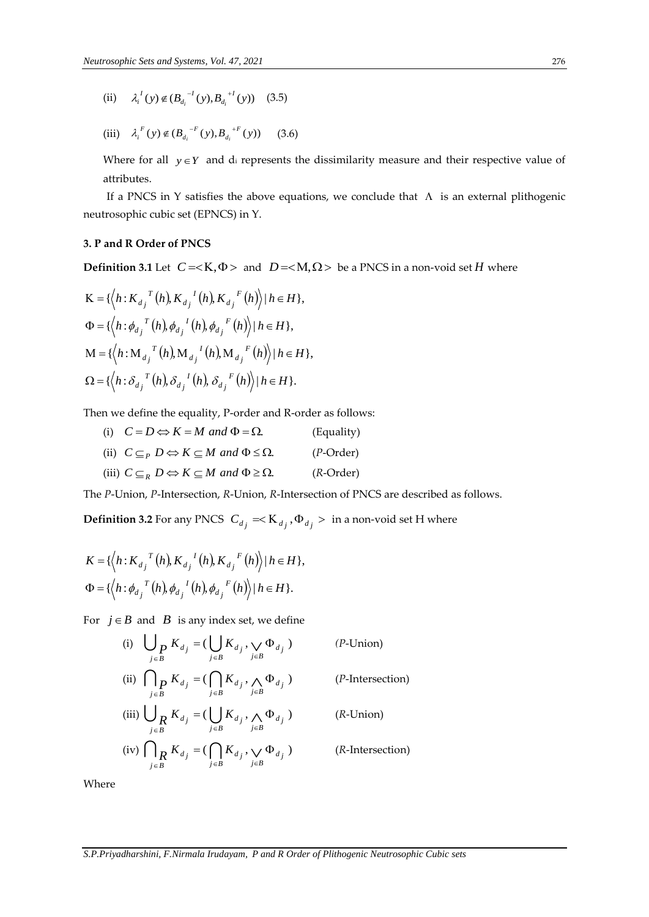- (ii)  $\lambda_i^I(y) \notin (B_{d_i}^{-I}(y), B_{d_i}^{I}(y))$  $\lambda_i^I(y) \notin (B_{d_i}^{-I}(y), B_{d_i}^{I}(y))$  (3.5)
- (iii)  $\lambda_i^F(y) \notin (B_{d_i}^{-F}(y), B_{d_i}^{F}(y))$  $\lambda_i^F(y) \notin (B_{d_i}^{-F}(y), B_{d_i}^{F}(y))$  (3.6)

Where for all  $y \in Y$  and di represents the dissimilarity measure and their respective value of attributes.

If a PNCS in Y satisfies the above equations, we conclude that  $\Lambda$  is an external plithogenic neutrosophic cubic set (EPNCS) in Y.

## **3. P and R Order of PNCS**

 $\overline{1}$ 

**Definition 3.1** Let  $C = \langle K, \Phi \rangle$  and  $D = \langle M, \Omega \rangle$  be a PNCS in a non-void set H where

$$
K = \{ \langle h : K_{d_j}^T(h), K_{d_j}^I(h), K_{d_j}^F(h) \rangle | h \in H \},\
$$
  
\n
$$
\Phi = \{ \langle h : \phi_{d_j}^T(h), \phi_{d_j}^I(h), \phi_{d_j}^F(h) \rangle | h \in H \},\
$$
  
\n
$$
M = \{ \langle h : M_{d_j}^T(h), M_{d_j}^I(h), M_{d_j}^F(h) \rangle | h \in H \},\
$$
  
\n
$$
\Omega = \{ \langle h : \delta_{d_j}^T(h), \delta_{d_j}^I(h), \delta_{d_j}^F(h) \rangle | h \in H \}.
$$

Then we define the equality, P-order and R-order as follows:

(i)  $C = D \Leftrightarrow K = M$  and  $\Phi = \Omega$ . (Equality) (ii)  $C \subseteq_{P} D \Leftrightarrow K \subseteq M$  and  $\Phi \leq \Omega$ . (*P*-Order) (iii)  $C \subseteq_R D \Leftrightarrow K \subseteq M$  and  $\Phi \ge \Omega$ . (*R*-Order)

The *P*-Union, *P*-Intersection, *R*-Union, *R*-Intersection of PNCS are described as follows.

**Definition 3.2** For any PNCS  $\ C_{d_j} = **K**_{d_j}, **\Phi**_{d_j}>$  in a non-void set H where

$$
K = \{ \langle h : K_{d_j}^T(h), K_{d_j}^I(h), K_{d_j}^F(h) \rangle | h \in H \},\
$$
  

$$
\Phi = \{ \langle h : \phi_{d_j}^T(h), \phi_{d_j}^I(h), \phi_{d_j}^F(h) \rangle | h \in H \}.
$$

For  $j \in B$  and  $B$  is any index set, we define

(i) 
$$
\bigcup_{j \in B} K_{d_j} = (\bigcup_{j \in B} K_{d_j}, \bigvee_{j \in B} \Phi_{d_j})
$$
 (*P*-Union)  
\n(ii) 
$$
\bigcap_{j \in B} K_{d_j} = (\bigcap_{j \in B} K_{d_j}, \bigwedge_{j \in B} \Phi_{d_j})
$$
 (*P*-Intersection)  
\n(iii) 
$$
\bigcup_{j \in B} K_{d_j} = (\bigcup_{j \in B} K_{d_j}, \bigwedge_{j \in B} \Phi_{d_j})
$$
 (*R*-Union)  
\n(iv) 
$$
\bigcap_{j \in B} K_{d_j} = (\bigcap_{j \in B} K_{d_j}, \bigvee_{j \in B} \Phi_{d_j})
$$
 (*R*-Intersection)

Where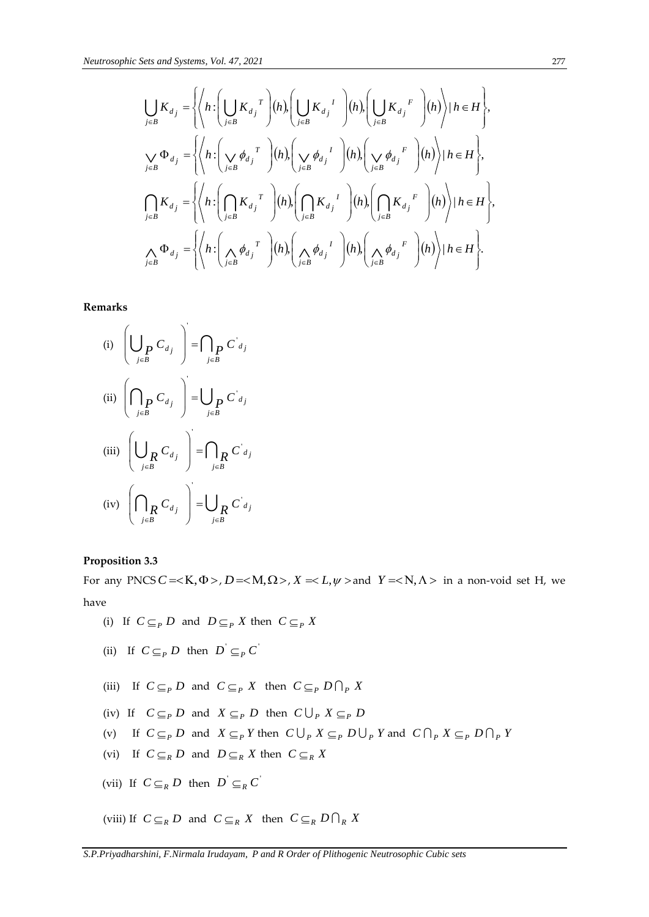$$
\bigcup_{j\in B} K_{d_j} = \left\{ \left\langle h : \left( \bigcup_{j\in B} K_{d_j}^T \right) (h) , \left( \bigcup_{j\in B} K_{d_j}^T \right) (h) , \left( \bigcup_{j\in B} K_{d_j}^F \right) (h) \right\rangle | h \in H \right\},\
$$
\n
$$
\bigvee_{j\in B} \Phi_{d_j} = \left\{ \left\langle h : \left( \bigvee_{j\in B} \phi_{d_j}^T \right) (h) , \left( \bigvee_{j\in B} \phi_{d_j}^T \right) (h) , \left( \bigvee_{j\in B} \phi_{d_j}^F \right) (h) \right\rangle | h \in H \right\},\
$$
\n
$$
\bigcap_{j\in B} K_{d_j} = \left\{ \left\langle h : \left( \bigcap_{j\in B} K_{d_j}^T \right) (h) , \left( \bigcap_{j\in B} K_{d_j}^T \right) (h) , \left( \bigcap_{j\in B} K_{d_j}^F \right) (h) \right\rangle | h \in H \right\},\
$$
\n
$$
\bigwedge_{j\in B} \Phi_{d_j} = \left\{ \left\langle h : \left( \bigwedge_{j\in B} \phi_{d_j}^T \right) (h) , \left( \bigwedge_{j\in B} \phi_{d_j}^F \right) (h) , \left( \bigwedge_{j\in B} \phi_{d_j}^F \right) (h) \right\rangle | h \in H \right\}.
$$

**Remarks**

(i) 
$$
\left(\bigcup_{j\in B} C_{d_j}\right) = \bigcap_{j\in B} C'_{d_j}
$$
  
\n(ii) 
$$
\left(\bigcap_{j\in B} C_{d_j}\right) = \bigcup_{j\in B} C'_{d_j}
$$
  
\n(iii) 
$$
\left(\bigcup_{j\in B} C_{d_j}\right) = \bigcap_{j\in B} C'_{d_j}
$$
  
\n(iv) 
$$
\left(\bigcap_{j\in B} C_{d_j}\right) = \bigcup_{j\in B} C'_{d_j}
$$

#### **Proposition 3.3**

For any PNCS  $C = < K$ ,  $\Phi >$ ,  $D = < M$ ,  $\Omega >$ ,  $X = < L$ ,  $\psi >$  and  $Y = < N$ ,  $\Lambda >$  in a non-void set H, we have

- (i) If  $C \subseteq_{P} D$  and  $D \subseteq_{P} X$  then  $C \subseteq_{P} X$
- (ii) If  $C \subseteq_{P} D$  then  $D' \subseteq_{P} C'$
- (iii) If  $C \subseteq_{P} D$  and  $C \subseteq_{P} X$  then  $C \subseteq_{P} D \cap_{P} X$
- (iv) If  $C \subseteq_{P} D$  and  $X \subseteq_{P} D$  then  $C \bigcup_{P} X \subseteq_{P} D$
- (v) If  $C \subseteq_{P} D$  and  $X \subseteq_{P} Y$  then  $C \bigcup_{P} X \subseteq_{P} D \bigcup_{P} Y$  and  $C \bigcap_{P} X \subseteq_{P} D \bigcap_{P} Y$
- (vi) If  $C \subseteq_R D$  and  $D \subseteq_R X$  then  $C \subseteq_R X$
- (vii) If  $C \subseteq_R D$  then  $D' \subseteq_R C'$

(viii) If  $C \subseteq_R D$  and  $C \subseteq_R X$  then  $C \subseteq_R D \cap_R X$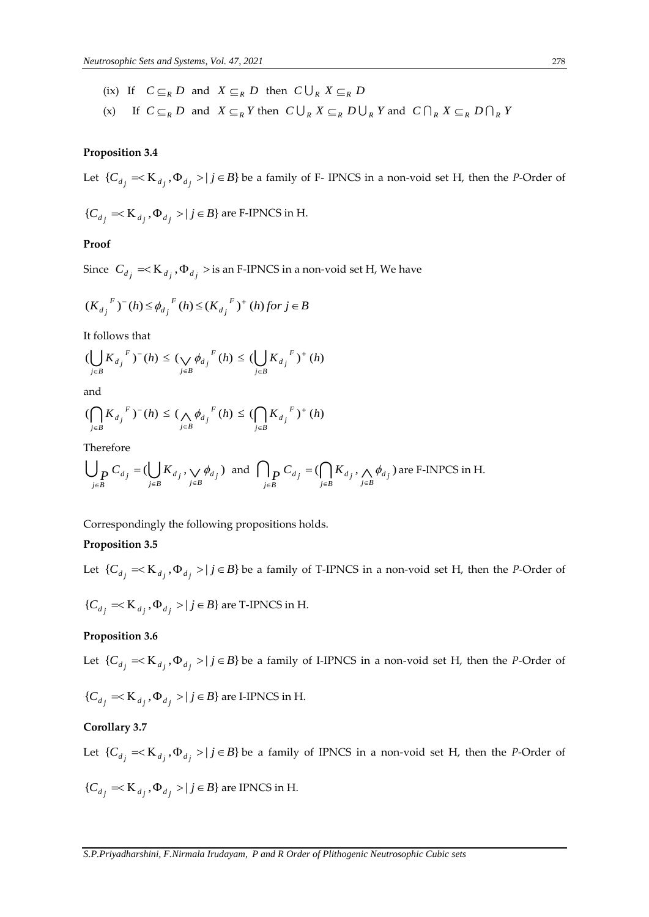- (ix) If  $C \subseteq_R D$  and  $X \subseteq_R D$  then  $C \bigcup_R X \subseteq_R D$
- (x) If  $C \subseteq_R D$  and  $X \subseteq_R Y$  then  $C \cup_R X \subseteq_R D \cup_R Y$  and  $C \cap_R X \subseteq_R D \cap_R Y$

## **Proposition 3.4**

Let  $\{C_{d_j} = K_{d_j}, \Phi_{d_j} > | j \in B\}$  be a family of F- IPNCS in a non-void set H, then the *P*-Order of

$$
\{C_{d_j} = K_{d_j}, \Phi_{d_j} > | j \in B\}
$$
 are F-IPNCS in H.

#### **Proof**

Since  $C_{d_j} = K_{d_j}, \Phi_{d_j} >$  is an F-IPNCS in a non-void set H, We have

$$
(K_{d_j}^{\ F})^-(h) \le \phi_{d_j}^{\ F}(h) \le (K_{d_j}^{\ F})^+(h) \text{ for } j \in B
$$

It follows that

$$
(\bigcup_{j\in B} {K_{d}}_{j}^{F})^{-}(h) \leq (\bigvee_{j\in B} \phi_{d_{j}}^{F}(h) \leq (\bigcup_{j\in B} {K_{d}}_{j}^{F})^{+}(h)
$$

and

$$
(\displaystyle{\bigcap_{j\in B}}{K_{d_j}}^F)^-(h)\leq (\displaystyle{\bigwedge_{j\in B}}\phi_{d_j}^F(h)\leq (\displaystyle{\bigcap_{j\in B}}{K_{d_j}}^F)^+(h)
$$

Therefore

$$
\bigcup_{j\in B} C_{d_j} = (\bigcup_{j\in B} K_{d_j}, \bigvee_{j\in B} \phi_{d_j}) \text{ and } \bigcap_{j\in B} C_{d_j} = (\bigcap_{j\in B} K_{d_j}, \bigwedge_{j\in B} \phi_{d_j}) \text{ are F-INPCS in H.}
$$

Correspondingly the following propositions holds.

## **Proposition 3.5**

Let  $\{C_{d_j} = K_{d_j}, \Phi_{d_j} > | j \in B\}$  be a family of T-IPNCS in a non-void set H, then the *P*-Order of  ${C_d}_j = < K_{d_j}, \Phi_{d_j} > | j \in B$  are T-IPNCS in H.

#### **Proposition 3.6**

Let  $\{C_{d_j} = K_{d_j}, \Phi_{d_j} > | j \in B\}$  be a family of I-IPNCS in a non-void set H, then the *P*-Order of

$$
\{C_{d_j} = K_{d_j}, \Phi_{d_j} > | j \in B\}
$$
 are I-IPNCS in H.

#### **Corollary 3.7**

Let  $\{C_{d_j} = K_{d_j}, \Phi_{d_j} > |j \in B\}$  be a family of IPNCS in a non-void set H, then the *P*-Order of

$$
\{C_{d_j} = K_{d_j}, \Phi_{d_j} > | j \in B\}
$$
 are IPNCS in H.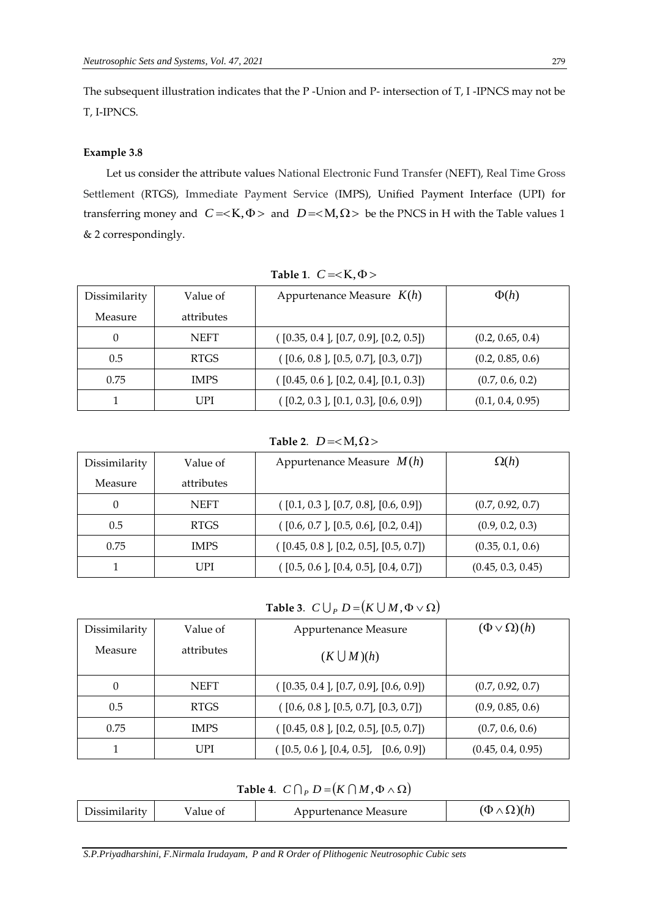The subsequent illustration indicates that the P -Union and P- intersection of T, I -IPNCS may not be T, I-IPNCS.

#### **Example 3.8**

Let us consider the attribute values National Electronic Fund Transfer (NEFT), Real Time Gross Settlement (RTGS), Immediate Payment Service (IMPS), Unified Payment Interface (UPI) for transferring money and  $C = < K$ ,  $\Phi$  > and  $D = < M$ ,  $\Omega$  > be the PNCS in H with the Table values 1 & 2 correspondingly.

| Dissimilarity | Value of    | Appurtenance Measure $K(h)$           | $\Phi(h)$        |
|---------------|-------------|---------------------------------------|------------------|
| Measure       | attributes  |                                       |                  |
|               | <b>NEFT</b> | ([0.35, 0.4], [0.7, 0.9], [0.2, 0.5]) | (0.2, 0.65, 0.4) |
| 0.5           | <b>RTGS</b> | ([0.6, 0.8], [0.5, 0.7], [0.3, 0.7])  | (0.2, 0.85, 0.6) |
| 0.75          | <b>IMPS</b> | ([0.45, 0.6], [0.2, 0.4], [0.1, 0.3]) | (0.7, 0.6, 0.2)  |
|               | UPI         | ([0.2, 0.3], [0.1, 0.3], [0.6, 0.9])  | (0.1, 0.4, 0.95) |

Table 1.  $C = < K, \Phi >$ 

**Table 2.**  $D =$ 

| Dissimilarity | Value of    | Appurtenance Measure $M(h)$           | $\Omega(h)$       |
|---------------|-------------|---------------------------------------|-------------------|
| Measure       | attributes  |                                       |                   |
|               | <b>NEFT</b> | ([0.1, 0.3], [0.7, 0.8], [0.6, 0.9])  | (0.7, 0.92, 0.7)  |
| 0.5           | <b>RTGS</b> | ([0.6, 0.7], [0.5, 0.6], [0.2, 0.4])  | (0.9, 0.2, 0.3)   |
| 0.75          | <b>IMPS</b> | ([0.45, 0.8], [0.2, 0.5], [0.5, 0.7]) | (0.35, 0.1, 0.6)  |
|               | I JPI       | ([0.5, 0.6], [0.4, 0.5], [0.4, 0.7])  | (0.45, 0.3, 0.45) |

## **Table 3.**  $C \bigcup_{P} D = (K \bigcup M, \Phi \vee \Omega)$

| Dissimilarity | Value of    | Appurtenance Measure                     | $(\Phi \vee \Omega)(h)$ |
|---------------|-------------|------------------------------------------|-------------------------|
| Measure       | attributes  | $(K \bigcup M)(h)$                       |                         |
| 0             | <b>NEFT</b> | ([0.35, 0.4], [0.7, 0.9], [0.6, 0.9])    | (0.7, 0.92, 0.7)        |
| 0.5           | <b>RTGS</b> | $($ [0.6, 0.8 ], [0.5, 0.7], [0.3, 0.7]) | (0.9, 0.85, 0.6)        |
| 0.75          | <b>IMPS</b> | ([0.45, 0.8], [0.2, 0.5], [0.5, 0.7])    | (0.7, 0.6, 0.6)         |
|               | UPI         | $($ [0.5, 0.6 ], [0.4, 0.5], [0.6, 0.9]) | (0.45, 0.4, 0.95)       |

**Table 4.**  $C \bigcap_{P} D = (K \bigcap M, \Phi \wedge \Omega)$ 

| Dissimilarity<br>value of | Appurtenance Measure | $(\Phi \wedge \Omega)(h)$ |
|---------------------------|----------------------|---------------------------|
|---------------------------|----------------------|---------------------------|

*S.P.Priyadharshini, F.Nirmala Irudayam, P and R Order of Plithogenic Neutrosophic Cubic sets*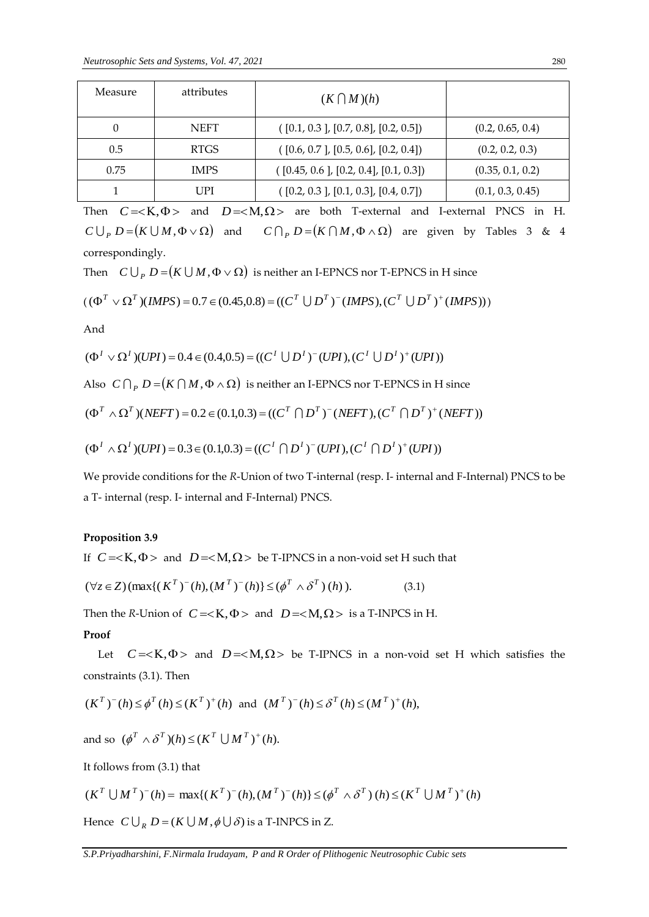| Measure | attributes  | $(K \bigcap M)(h)$                    |                  |
|---------|-------------|---------------------------------------|------------------|
|         | <b>NEFT</b> | ([0.1, 0.3], [0.7, 0.8], [0.2, 0.5])  | (0.2, 0.65, 0.4) |
| 0.5     | <b>RTGS</b> | ([0.6, 0.7], [0.5, 0.6], [0.2, 0.4])  | (0.2, 0.2, 0.3)  |
| 0.75    | <b>IMPS</b> | ([0.45, 0.6], [0.2, 0.4], [0.1, 0.3]) | (0.35, 0.1, 0.2) |
|         | UPI         | ([0.2, 0.3], [0.1, 0.3], [0.4, 0.7])  | (0.1, 0.3, 0.45) |

Then  $C = < K$ ,  $\Phi$  and  $D = < M$ ,  $\Omega$  are both T-external and I-external PNCS in H.  $C \bigcup_{P} D = (K \bigcup M, \Phi \vee \Omega)$  and  $C \bigcap_{P} D = (K \bigcap M, \Phi \wedge \Omega)$  are given by Tables 3 & 4 correspondingly.

Then  $C \bigcup_{P} D$  =  $(K \bigcup M, \Phi \vee \Omega)$  is neither an I-EPNCS nor T-EPNCS in H since

$$
((\Phi^T \vee \Omega^T)(IMPS) = 0.7 \in (0.45, 0.8) = ((C^T \cup D^T)^{-1}(IMPS), (C^T \cup D^T)^{+1}(IMPS)))
$$

And

$$
(\Phi^I \vee \Omega^I)(UPI) = 0.4 \in (0.4, 0.5) = ((C^I \cup D^I)^\top (UPI), (C^I \cup D^I)^\top (UPI))
$$

Also  $\ C\ \bigcap_{\ P} D\mathop= (K\ \bigcap M, \Phi \wedge \Omega) \ \text{ is neither an I-EPNCS nor T-EPNCS in H since}$ 

$$
(\Phi^T \wedge \Omega^T)(NEFT) = 0.2 \in (0.1, 0.3) = ((C^T \cap D^T)^{-1}(NEFT), (C^T \cap D^T)^{+}(NEFT))
$$

$$
(\Phi^I \wedge \Omega^I)(UPI) = 0.3 \in (0.1, 0.3) = ((C^I \cap D^I)^\top (UPI), (C^I \cap D^I)^\top (UPI))
$$

We provide conditions for the *R*-Union of two T-internal (resp. I- internal and F-Internal) PNCS to be a T- internal (resp. I- internal and F-Internal) PNCS.

#### **Proposition 3.9**

If  $C = < K$ ,  $\Phi$  > and  $D = < M$ ,  $\Omega$  > be T-IPNCS in a non-void set H such that

$$
(\forall z \in Z) (\max\{ (\boldsymbol{K}^T)^{-}(h), (\boldsymbol{M}^T)^{-}(h) \} \leq (\boldsymbol{\phi}^T \wedge \boldsymbol{\delta}^T) (\boldsymbol{h})). \tag{3.1}
$$

Then the *R*-Union of  $C = \langle K, \Phi \rangle$  and  $D = \langle M, \Omega \rangle$  is a T-INPCS in H.

#### **Proof**

Let  $C = < K$ ,  $\Phi$  > and  $D = < M$ ,  $\Omega$  > be T-IPNCS in a non-void set H which satisfies the constraints (3.1). Then

$$
(K^T)^-(h) \le \phi^T(h) \le (K^T)^+(h)
$$
 and  $(M^T)^-(h) \le \delta^T(h) \le (M^T)^+(h)$ ,

and so  $(\phi^T \wedge \delta^T)(h) \le (K^T \cup M^T)^+(h)$ .

It follows from (3.1) that

$$
(K^T \cup M^T)^{-}(h) = \max\{(K^T)^{-}(h), (M^T)^{-}(h)\} \leq (\phi^T \wedge \delta^T)(h) \leq (K^T \cup M^T)^{+}(h)
$$

Hence  $C \bigcup_R D = (K \bigcup M, \phi \bigcup \delta)$  is a T-INPCS in Z.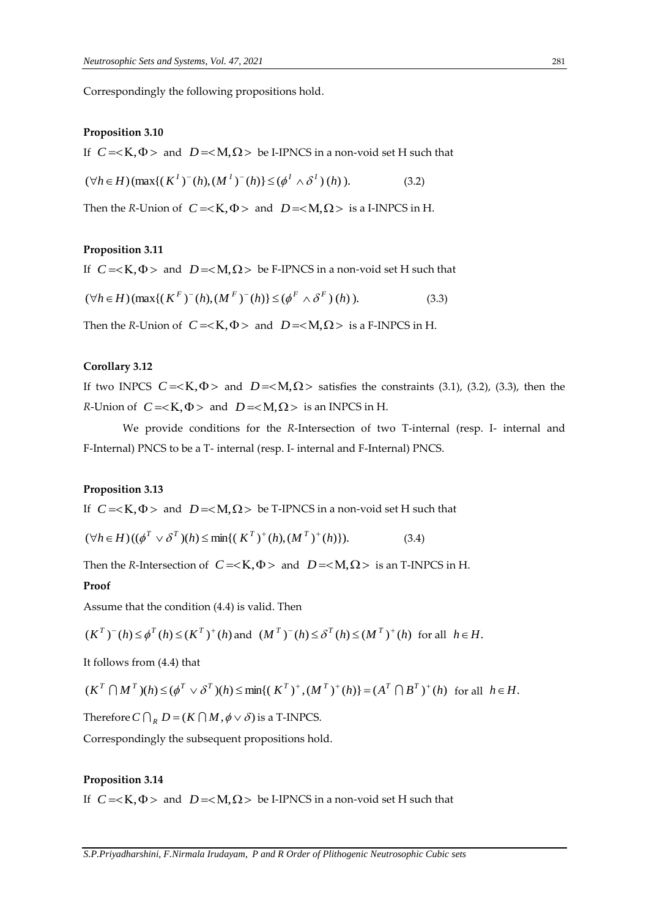Correspondingly the following propositions hold.

#### **Proposition 3.10**

If  $C = < K$ ,  $\Phi$  > and  $D = < M$ ,  $\Omega$  > be I-IPNCS in a non-void set H such that

$$
(\forall h \in H) (\max\{(K^I)^-(h), (M^I)^-(h)\} \le (\phi^I \wedge \delta^I)(h)). \tag{3.2}
$$

Then the *R*-Union of  $C = \langle K, \Phi \rangle$  and  $D = \langle M, \Omega \rangle$  is a I-INPCS in H.

#### **Proposition 3.11**

If  $C = < K$ ,  $\Phi$  > and  $D = < M$ ,  $\Omega$  > be F-IPNCS in a non-void set H such that

$$
(\forall h \in H) (\max\{ (K^F)^{-}(h), (M^F)^{-}(h) \} \leq (\phi^F \wedge \delta^F)(h)). \tag{3.3}
$$

Then the *R*-Union of  $C = < K$ ,  $\Phi$  > and  $D = < M$ ,  $\Omega$  > is a F-INPCS in H.

#### **Corollary 3.12**

If two INPCS  $C = < K$ ,  $\Phi$  > and  $D = < M$ ,  $\Omega$  > satisfies the constraints (3.1), (3.2), (3.3), then the *R*-Union of  $C = < K$ ,  $\Phi$  > and  $D = < M$ ,  $\Omega$  > is an INPCS in H.

We provide conditions for the *R*-Intersection of two T-internal (resp. I- internal and F-Internal) PNCS to be a T- internal (resp. I- internal and F-Internal) PNCS.

#### **Proposition 3.13**

If  $C = < K$ ,  $\Phi$  > and  $D = < M$ ,  $\Omega$  > be T-IPNCS in a non-void set H such that

$$
(\forall h \in H) ((\phi^T \vee \delta^T)(h) \le \min\{ (K^T)^+(h), (M^T)^+(h) \}). \tag{3.4}
$$

Then the *R*-Intersection of  $C = < K$ ,  $\Phi$  > and  $D = < M$ ,  $\Omega$  > is an T-INPCS in H.

#### **Proof**

Assume that the condition (4.4) is valid. Then

$$
(K^T)^-(h) \le \phi^T(h) \le (K^T)^+(h)
$$
 and  $(M^T)^-(h) \le \delta^T(h) \le (M^T)^+(h)$  for all  $h \in H$ .

It follows from (4.4) that

$$
(K^T \cap M^T)(h) \leq (\phi^T \vee \delta^T)(h) \leq \min\{(K^T)^+, (M^T)^+(h)\} = (A^T \cap B^T)^+(h) \text{ for all } h \in H.
$$

Therefore  $C \bigcap_R D = (K \bigcap M, \phi \vee \delta)$  is a T-INPCS.

Correspondingly the subsequent propositions hold.

#### **Proposition 3.14**

If  $C = < K$ ,  $\Phi$  > and  $D = < M$ ,  $\Omega$  > be I-IPNCS in a non-void set H such that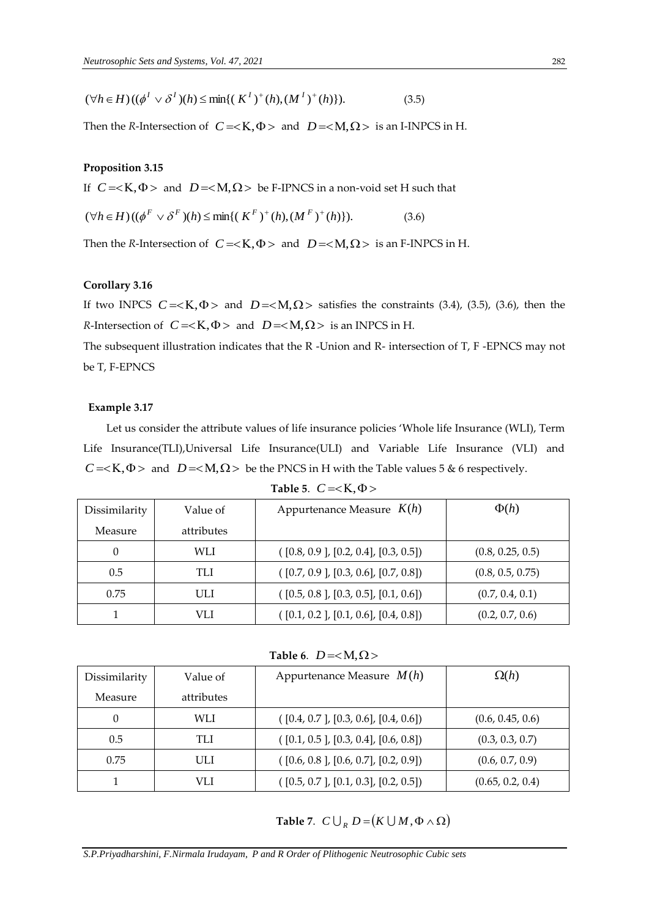$$
(\forall h \in H) ((\phi^I \vee \delta^I)(h) \le \min\{ (K^I)^+(h), (M^I)^+(h) \}). \tag{3.5}
$$

Then the *R*-Intersection of  $C = < K$ ,  $\Phi$  > and  $D = < M$ ,  $\Omega$  > is an I-INPCS in H.

## **Proposition 3.15**

If  $C = < K$ ,  $\Phi$  > and  $D = < M$ ,  $\Omega$  > be F-IPNCS in a non-void set H such that

$$
(\forall h \in H) ((\phi^F \vee \delta^F)(h) \le \min\{ (K^F)^+(h), (M^F)^+(h) \}). \tag{3.6}
$$

Then the *R*-Intersection of  $C = \langle K, \Phi \rangle$  and  $D = \langle M, \Omega \rangle$  is an F-INPCS in H.

### **Corollary 3.16**

If two INPCS  $C = < K$ ,  $\Phi$  > and  $D = < M$ ,  $\Omega$  > satisfies the constraints (3.4), (3.5), (3.6), then the *R*-Intersection of  $C = < K$ ,  $\Phi$  > and  $D = < M$ ,  $\Omega$  > is an INPCS in H.

The subsequent illustration indicates that the R -Union and R- intersection of T, F -EPNCS may not be T, F-EPNCS

#### **Example 3.17**

Let us consider the attribute values of life insurance policies 'Whole life Insurance (WLI), Term Life Insurance(TLI),Universal Life Insurance(ULI) and Variable Life Insurance (VLI) and  $C = < K$ ,  $\Phi$  > and  $D = < M$ ,  $\Omega$  > be the PNCS in H with the Table values 5 & 6 respectively.

| Dissimilarity | Value of   | Appurtenance Measure $K(h)$          | $\Phi(h)$        |
|---------------|------------|--------------------------------------|------------------|
| Measure       | attributes |                                      |                  |
|               | WLI        | ([0.8, 0.9], [0.2, 0.4], [0.3, 0.5]) | (0.8, 0.25, 0.5) |
| 0.5           | TLI        | ([0.7, 0.9], [0.3, 0.6], [0.7, 0.8]) | (0.8, 0.5, 0.75) |
| 0.75          | ULI        | ([0.5, 0.8], [0.3, 0.5], [0.1, 0.6]) | (0.7, 0.4, 0.1)  |
|               | VLI        | ([0.1, 0.2], [0.1, 0.6], [0.4, 0.8]) | (0.2, 0.7, 0.6)  |

**Table 5.**  $C = \langle K, \Phi \rangle$ 

**Table 6.**  $D =$ 

| Dissimilarity | Value of   | Appurtenance Measure $M(h)$              | $\Omega(h)$      |
|---------------|------------|------------------------------------------|------------------|
| Measure       | attributes |                                          |                  |
| 0             | WLI        | ([0.4, 0.7], [0.3, 0.6], [0.4, 0.6])     | (0.6, 0.45, 0.6) |
| 0.5           | TLI        | $($ [0.1, 0.5 ], [0.3, 0.4], [0.6, 0.8]) | (0.3, 0.3, 0.7)  |
| 0.75          | ULI        | $($ [0.6, 0.8 ], [0.6, 0.7], [0.2, 0.9]) | (0.6, 0.7, 0.9)  |
|               | VLI        | ([0.5, 0.7], [0.1, 0.3], [0.2, 0.5])     | (0.65, 0.2, 0.4) |

**Table 7.**  $C \bigcup_R D = (K \bigcup M, \Phi \wedge \Omega)$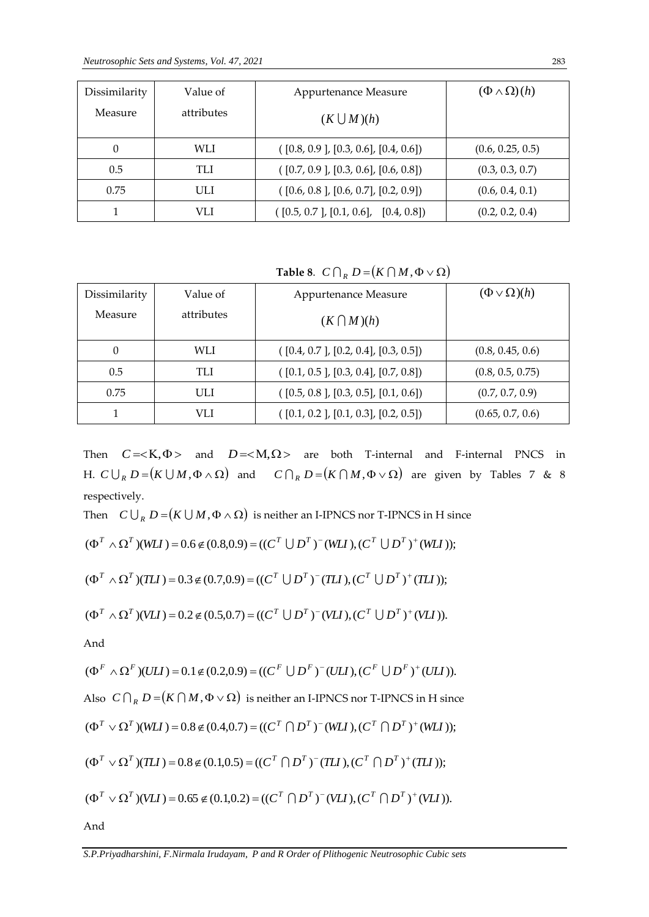| Dissimilarity | Value of   | Appurtenance Measure                     | $(\Phi \wedge \Omega)(h)$ |
|---------------|------------|------------------------------------------|---------------------------|
| Measure       | attributes | $(K \bigcup M)(h)$                       |                           |
| 0             | WLI        | ([0.8, 0.9], [0.3, 0.6], [0.4, 0.6])     | (0.6, 0.25, 0.5)          |
| 0.5           | TLI        | ([0.7, 0.9], [0.3, 0.6], [0.6, 0.8])     | (0.3, 0.3, 0.7)           |
| 0.75          | ULI        | ([0.6, 0.8], [0.6, 0.7], [0.2, 0.9])     | (0.6, 0.4, 0.1)           |
|               | VLI        | $($ [0.5, 0.7 ], [0.1, 0.6], [0.4, 0.8]) | (0.2, 0.2, 0.4)           |

**Table 8.**  $C \bigcap_R D = (K \bigcap M, \Phi \vee \Omega)$ 

| Dissimilarity | Value of   | Appurtenance Measure                 | $(\Phi \vee \Omega)(h)$ |
|---------------|------------|--------------------------------------|-------------------------|
| Measure       | attributes | $(K \bigcap M)(h)$                   |                         |
|               | WLI        | ([0.4, 0.7], [0.2, 0.4], [0.3, 0.5]) | (0.8, 0.45, 0.6)        |
| 0.5           | TLI        | ([0.1, 0.5], [0.3, 0.4], [0.7, 0.8]) | (0.8, 0.5, 0.75)        |
| 0.75          | ULI        | ([0.5, 0.8], [0.3, 0.5], [0.1, 0.6]) | (0.7, 0.7, 0.9)         |
|               | VLI        | ([0.1, 0.2], [0.1, 0.3], [0.2, 0.5]) | (0.65, 0.7, 0.6)        |

Then  $C = \langle K, \Phi \rangle$  and  $D = \langle M, \Omega \rangle$  are both T-internal and F-internal PNCS in H.  $C \bigcup_R D = (K \bigcup M, \Phi \wedge \Omega)$  and  $C \bigcap_R D = (K \bigcap M, \Phi \vee \Omega)$  are given by Tables 7 & 8 respectively.

Then  $C \bigcup_R D$  =  $(K \bigcup M, \Phi \wedge \Omega)$  is neither an I-IPNCS nor T-IPNCS in H since

$$
(\Phi^T \wedge \Omega^T)(WLI) = 0.6 \notin (0.8, 0.9) = ((C^T \cup D^T)^{-}(WLI), (C^T \cup D^T)^{+}(WLI));
$$

$$
(\Phi^T \wedge \Omega^T)(TLI) = 0.3 \notin (0.7, 0.9) = ((C^T \cup D^T)^{-1}(TLI), (C^T \cup D^T)^{+}(TLI));
$$

$$
(\Phi^T \wedge \Omega^T)(VLI) = 0.2 \notin (0.5, 0.7) = ((C^T \cup D^T)^{-1}(VLI), (C^T \cup D^T)^{+}(VLI)).
$$

And

$$
(\Phi^F \wedge \Omega^F)(ULI) = 0.1 \notin (0.2, 0.9) = ((C^F \cup D^F)^{-}(ULI), (C^F \cup D^F)^{+}(ULI)).
$$

Also  $\ C\cap_R D\!=\!\!(K\cap M,\Phi\vee\Omega)$  is neither an I-IPNCS nor T-IPNCS in H since

$$
(\Phi^T \vee \Omega^T)(WLI) = 0.8 \notin (0.4, 0.7) = ((C^T \cap D^T)^{-1}(WLI), (C^T \cap D^T)^{+}(WLI));
$$

$$
(\Phi^T \vee \Omega^T)(TLI) = 0.8 \notin (0.1, 0.5) = ((C^T \cap D^T)^-(TLI), (C^T \cap D^T)^+(TLI));
$$

$$
(\Phi^T \vee \Omega^T)(VLI) = 0.65 \notin (0.1, 0.2) = ((C^T \cap D^T)^{-1}(VLI), (C^T \cap D^T)^{+}(VLI)).
$$

And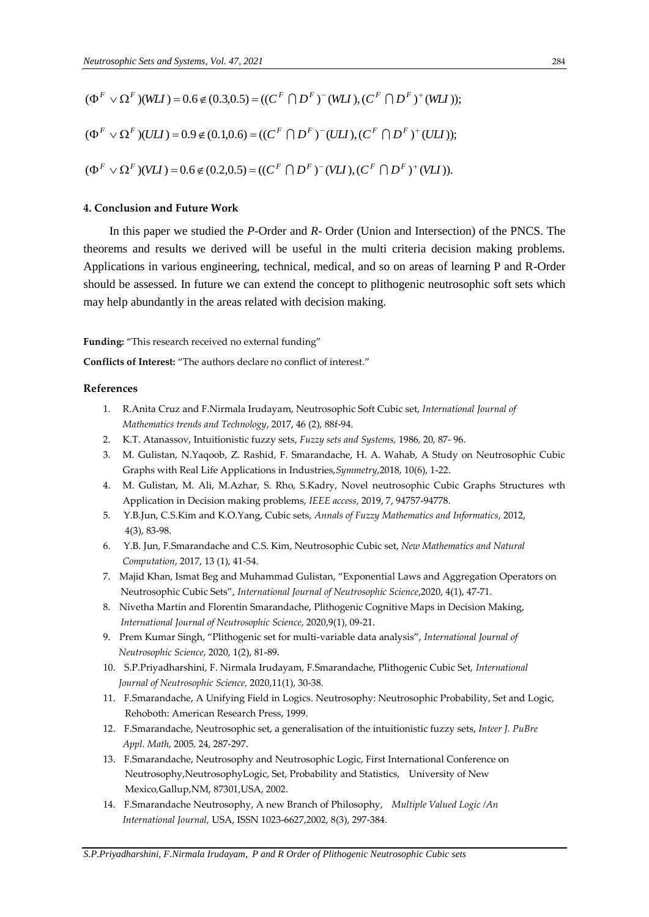$$
(\Phi^F \vee \Omega^F)(WII) = 0.6 \notin (0.3, 0.5) = ((C^F \cap D^F)^{-}(WII), (C^F \cap D^F)^{+}(WII));
$$
  

$$
(\Phi^F \vee \Omega^F)(UII) = 0.9 \notin (0.1, 0.6) = ((C^F \cap D^F)^{-}(UII), (C^F \cap D^F)^{+}(UII));
$$
  

$$
(\Phi^F \vee \Omega^F)(VII) = 0.6 \notin (0.2, 0.5) = ((C^F \cap D^F)^{-}(VII), (C^F \cap D^F)^{+}(VII)).
$$

#### **4. Conclusion and Future Work**

In this paper we studied the *P*-Order and *R*- Order (Union and Intersection) of the PNCS. The theorems and results we derived will be useful in the multi criteria decision making problems. Applications in various engineering, technical, medical, and so on areas of learning P and R-Order should be assessed. In future we can extend the concept to plithogenic neutrosophic soft sets which may help abundantly in the areas related with decision making.

**Funding:** "This research received no external funding"

**Conflicts of Interest:** "The authors declare no conflict of interest."

## **References**

- 1. R.Anita Cruz and F.Nirmala Irudayam, Neutrosophic Soft Cubic set, *International Journal of Mathematics trends and Technology*, 2017, 46 (2), 88f-94.
- 2. K.T. Atanassov, Intuitionistic fuzzy sets, *Fuzzy sets and Systems,* 1986*,* 20, 87- 96.
- 3. M. Gulistan, N.Yaqoob, Z. Rashid, F. Smarandache, H. A. Wahab, A Study on Neutrosophic Cubic Graphs with Real Life Applications in Industries,*Symmetry*,2018, 10(6), 1-22.
- 4. M. Gulistan, M. Ali, M.Azhar, S. Rho, S.Kadry, Novel neutrosophic Cubic Graphs Structures wth Application in Decision making problems, *IEEE access*, 2019, 7, 94757-94778.
- 5. Y.B.Jun, C.S.Kim and K.O.Yang, Cubic sets, *Annals of Fuzzy Mathematics and Informatics*, 2012, 4(3), 83-98.
- 6. Y.B. Jun, F.Smarandache and C.S. Kim, Neutrosophic Cubic set, *New Mathematics and Natural Computation*, 2017, 13 (1), 41-54.
- 7. Majid Khan, Ismat Beg and Muhammad Gulistan, "Exponential Laws and Aggregation Operators on Neutrosophic Cubic Sets", *International Journal of Neutrosophic Science*,2020, 4(1), 47-71.
- 8. Nivetha Martin and Florentin Smarandache, Plithogenic Cognitive Maps in Decision Making, *International Journal of Neutrosophic Science*, 2020,9(1), 09-21.
- 9. Prem Kumar Singh, "Plithogenic set for multi-variable data analysis", *International Journal of Neutrosophic Science*, 2020, 1(2), 81-89.
- 10. S.P.Priyadharshini, F. Nirmala Irudayam, F.Smarandache, Plithogenic Cubic Set, *International Journal of Neutrosophic Science,* 2020,11(1), 30-38.
- 11. F.Smarandache, A Unifying Field in Logics. Neutrosophy: Neutrosophic Probability, Set and Logic, Rehoboth: American Research Press, 1999.
- 12. F.Smarandache, Neutrosophic set, a generalisation of the intuitionistic fuzzy sets, *Inteer J. PuBre Appl. Math,* 2005*,* 24, 287-297.
- 13. F.Smarandache, Neutrosophy and Neutrosophic Logic, First International Conference on Neutrosophy,NeutrosophyLogic, Set, Probability and Statistics, University of New Mexico,Gallup,NM, 87301,USA, 2002.
- 14. F.Smarandache Neutrosophy, A new Branch of Philosophy, *Multiple Valued Logic /An International Journal,* USA, ISSN 1023-6627,2002, 8(3), 297-384.